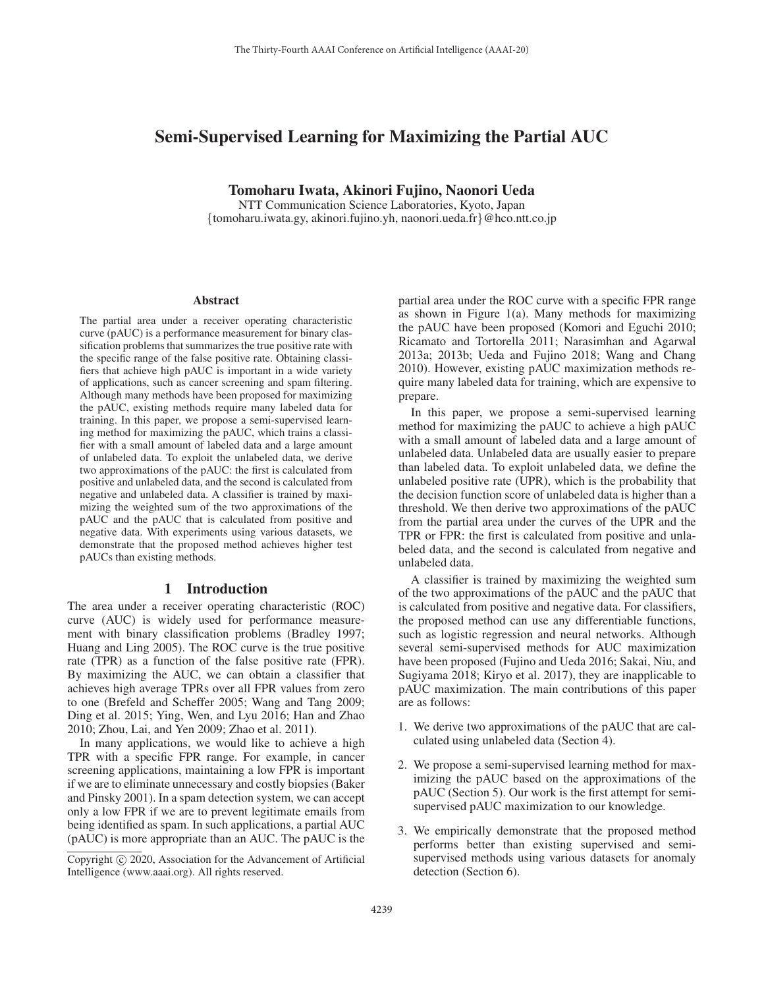# Semi-Supervised Learning for Maximizing the Partial AUC

Tomoharu Iwata, Akinori Fujino, Naonori Ueda

NTT Communication Science Laboratories, Kyoto, Japan {tomoharu.iwata.gy, akinori.fujino.yh, naonori.ueda.fr}@hco.ntt.co.jp

#### Abstract

The partial area under a receiver operating characteristic curve (pAUC) is a performance measurement for binary classification problems that summarizes the true positive rate with the specific range of the false positive rate. Obtaining classifiers that achieve high pAUC is important in a wide variety of applications, such as cancer screening and spam filtering. Although many methods have been proposed for maximizing the pAUC, existing methods require many labeled data for training. In this paper, we propose a semi-supervised learning method for maximizing the pAUC, which trains a classifier with a small amount of labeled data and a large amount of unlabeled data. To exploit the unlabeled data, we derive two approximations of the pAUC: the first is calculated from positive and unlabeled data, and the second is calculated from negative and unlabeled data. A classifier is trained by maximizing the weighted sum of the two approximations of the pAUC and the pAUC that is calculated from positive and negative data. With experiments using various datasets, we demonstrate that the proposed method achieves higher test pAUCs than existing methods.

### 1 Introduction

The area under a receiver operating characteristic (ROC) curve (AUC) is widely used for performance measurement with binary classification problems (Bradley 1997; Huang and Ling 2005). The ROC curve is the true positive rate (TPR) as a function of the false positive rate (FPR). By maximizing the AUC, we can obtain a classifier that achieves high average TPRs over all FPR values from zero to one (Brefeld and Scheffer 2005; Wang and Tang 2009; Ding et al. 2015; Ying, Wen, and Lyu 2016; Han and Zhao 2010; Zhou, Lai, and Yen 2009; Zhao et al. 2011).

In many applications, we would like to achieve a high TPR with a specific FPR range. For example, in cancer screening applications, maintaining a low FPR is important if we are to eliminate unnecessary and costly biopsies (Baker and Pinsky 2001). In a spam detection system, we can accept only a low FPR if we are to prevent legitimate emails from being identified as spam. In such applications, a partial AUC (pAUC) is more appropriate than an AUC. The pAUC is the

partial area under the ROC curve with a specific FPR range as shown in Figure 1(a). Many methods for maximizing the pAUC have been proposed (Komori and Eguchi 2010; Ricamato and Tortorella 2011; Narasimhan and Agarwal 2013a; 2013b; Ueda and Fujino 2018; Wang and Chang 2010). However, existing pAUC maximization methods require many labeled data for training, which are expensive to prepare.

In this paper, we propose a semi-supervised learning method for maximizing the pAUC to achieve a high pAUC with a small amount of labeled data and a large amount of unlabeled data. Unlabeled data are usually easier to prepare than labeled data. To exploit unlabeled data, we define the unlabeled positive rate (UPR), which is the probability that the decision function score of unlabeled data is higher than a threshold. We then derive two approximations of the pAUC from the partial area under the curves of the UPR and the TPR or FPR: the first is calculated from positive and unlabeled data, and the second is calculated from negative and unlabeled data.

A classifier is trained by maximizing the weighted sum of the two approximations of the pAUC and the pAUC that is calculated from positive and negative data. For classifiers, the proposed method can use any differentiable functions, such as logistic regression and neural networks. Although several semi-supervised methods for AUC maximization have been proposed (Fujino and Ueda 2016; Sakai, Niu, and Sugiyama 2018; Kiryo et al. 2017), they are inapplicable to pAUC maximization. The main contributions of this paper are as follows:

- 1. We derive two approximations of the pAUC that are calculated using unlabeled data (Section 4).
- 2. We propose a semi-supervised learning method for maximizing the pAUC based on the approximations of the pAUC (Section 5). Our work is the first attempt for semisupervised pAUC maximization to our knowledge.
- 3. We empirically demonstrate that the proposed method performs better than existing supervised and semisupervised methods using various datasets for anomaly detection (Section 6).

Copyright  $\odot$  2020, Association for the Advancement of Artificial Intelligence (www.aaai.org). All rights reserved.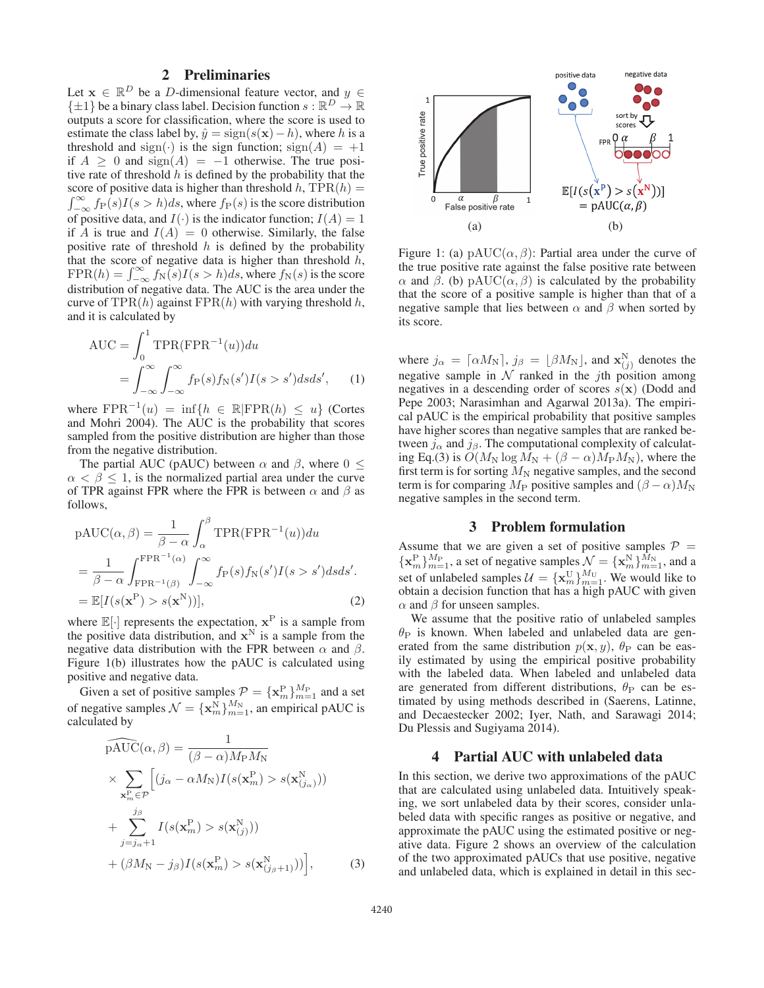# 2 Preliminaries

Let  $\mathbf{x} \in \mathbb{R}^D$  be a *D*-dimensional feature vector, and  $y \in$  $\{\pm 1\}$  be a binary class label. Decision function  $s : \mathbb{R}^D \to \mathbb{R}$ outputs a score for classification, where the score is used to estimate the class label by,  $\hat{y} = sign(s(\mathbf{x}) - h)$ , where h is a threshold and sign( $\cdot$ ) is the sign function; sign(A) = +1 if  $A > 0$  and  $sign(A) = -1$  otherwise. The true positive rate of threshold  $h$  is defined by the probability that the score of positive data is higher than threshold h,  $TPR(h) =$  $\int_{-\infty}^{\infty} f_P(s)I(s > h)ds$ , where  $f_P(s)$  is the score distribution<br>of positive data and  $I(s)$  is the indicator function:  $I(A) = 1$ of positive data, and  $I(\cdot)$  is the indicator function;  $I(A)=1$ if A is true and  $I(A)=0$  otherwise. Similarly, the false positive rate of threshold  $h$  is defined by the probability that the score of negative data is higher than threshold  $h$ , FPR(h) =  $\int_{-\infty}^{\infty} f_N(s)I(s > h)ds$ , where  $f_N(s)$  is the score distribution of peoplive data. The ALIC is the area under the distribution of negative data. The AUC is the area under the curve of TPR $(h)$  against FPR $(h)$  with varying threshold h, and it is calculated by

$$
AUC = \int_0^1 \text{TPR}(\text{FPR}^{-1}(u)) du
$$
  
= 
$$
\int_{-\infty}^{\infty} \int_{-\infty}^{\infty} f_{\text{P}}(s) f_{\text{N}}(s') I(s > s') ds ds',
$$
 (1)

where  $FPR^{-1}(u) = \inf\{h \in \mathbb{R} | FPR(h) \leq u\}$  (Cortes and Mohri 2004). The AUC is the probability that scores sampled from the positive distribution are higher than those from the negative distribution.

The partial AUC (pAUC) between  $\alpha$  and  $\beta$ , where  $0 \leq$  $\alpha < \beta \leq 1$ , is the normalized partial area under the curve of TPR against FPR where the FPR is between  $\alpha$  and  $\beta$  as follows,

$$
pAUC(\alpha, \beta) = \frac{1}{\beta - \alpha} \int_{\alpha}^{\beta} TPR(FPR^{-1}(u)) du
$$
  
= 
$$
\frac{1}{\beta - \alpha} \int_{FPR^{-1}(\beta)}^{FPR^{-1}(\alpha)} \int_{-\infty}^{\infty} f_P(s) f_N(s') I(s > s') ds ds'.
$$
  
= 
$$
\mathbb{E}[I(s(\mathbf{x}^P) > s(\mathbf{x}^N))],
$$
 (2)

where  $\mathbb{E}[\cdot]$  represents the expectation,  $\mathbf{x}^{\text{P}}$  is a sample from the positive data distribution, and  $\mathbf{x}^{\text{N}}$  is a sample from the the positive data distribution, and  $x^N$  is a sample from the negative data distribution with the FPR between  $\alpha$  and  $\beta$ . Figure 1(b) illustrates how the pAUC is calculated using positive and negative data.

Given a set of positive samples  $\mathcal{P} = \{ \mathbf{x}_{m}^{P} \}_{m=1}^{M_{P}}$  and a set<br>negative samples  $\mathcal{N} = \{ \mathbf{x}_{m}^{N} \}_{M_{N}}^{M_{N}}$  an amplitude  $\Lambda \text{UC}$  is of negative samples  $\mathcal{N} = {\mathbf{x}_m^N}_{m=1}^{M_N}$ , an empirical pAUC is calculated by calculated by

$$
\widehat{\text{pAUC}}(\alpha, \beta) = \frac{1}{(\beta - \alpha)M_{\text{P}}M_{\text{N}}}
$$
\n
$$
\times \sum_{\mathbf{x}_{m}^{\text{P}} \in \mathcal{P}} \Big[ (j_{\alpha} - \alpha M_{\text{N}})I(s(\mathbf{x}_{m}^{\text{P}}) > s(\mathbf{x}_{(j_{\alpha})}^{\text{N}}))
$$
\n
$$
+ \sum_{j=j_{\alpha}+1}^{j_{\beta}} I(s(\mathbf{x}_{m}^{\text{P}}) > s(\mathbf{x}_{(j)}^{\text{N}}))
$$
\n
$$
+ (\beta M_{\text{N}} - j_{\beta})I(s(\mathbf{x}_{m}^{\text{P}}) > s(\mathbf{x}_{(j_{\beta}+1)}^{\text{N}})) \Big], \tag{3}
$$



Figure 1: (a) pAUC( $\alpha$ ,  $\beta$ ): Partial area under the curve of the true positive rate against the false positive rate between α and β. (b) pAUC( $\alpha$ , β) is calculated by the probability that the score of a positive sample is higher than that of a negative sample that lies between  $\alpha$  and  $\beta$  when sorted by its score.

where  $j_{\alpha} = [\alpha M_N]$ ,  $j_{\beta} = [\beta M_N]$ , and  $\mathbf{x}_{(j)}^N$  denotes the negative sample in M rapid in the *i*<sup>th</sup> position among negative sample in  $N$  ranked in the *j*th position among negatives in a descending order of scores  $s(\mathbf{x})$  (Dodd and Pepe 2003; Narasimhan and Agarwal 2013a). The empirical pAUC is the empirical probability that positive samples have higher scores than negative samples that are ranked between  $j_{\alpha}$  and  $j_{\beta}$ . The computational complexity of calculating Eq.(3) is  $O(M_N \log M_N + (\beta - \alpha) M_P M_N)$ , where the first term is for sorting  $M_N$  negative samples, and the second term is for comparing  $M_P$  positive samples and  $(\beta - \alpha)M_N$ negative samples in the second term.

### 3 Problem formulation

Assume that we are given a set of positive samples  $\mathcal{P} = {\mathbf{x}_{m}^{N}}_{1}M_{\text{Pl}}^{M_{\text{P}}},$  and a set of negative samples  $\mathcal{N} = {\mathbf{x}_{m}^{N}}_{1}M_{\text{Pl}}^{M_{\text{N}}},$  and a set of unlabeled samples  $\mathcal{U} = {\mathbf{x}_{\text{V}}^{U}}_{1}M_{\text{U}}$ set of unlabeled samples  $\mathcal{U} = {\mathbf{x}_{m}^{U}}_{m=1}^{M_{U}}$ . We would like to obtain a decision function that has a high nAUC with given obtain a decision function that has a high pAUC with given  $\alpha$  and  $\beta$  for unseen samples.

We assume that the positive ratio of unlabeled samples  $\theta_P$  is known. When labeled and unlabeled data are generated from the same distribution  $p(\mathbf{x}, y)$ ,  $\theta$ <sub>P</sub> can be easily estimated by using the empirical positive probability with the labeled data. When labeled and unlabeled data are generated from different distributions,  $\theta_P$  can be estimated by using methods described in (Saerens, Latinne, and Decaestecker 2002; Iyer, Nath, and Sarawagi 2014; Du Plessis and Sugiyama 2014).

### 4 Partial AUC with unlabeled data

In this section, we derive two approximations of the pAUC that are calculated using unlabeled data. Intuitively speaking, we sort unlabeled data by their scores, consider unlabeled data with specific ranges as positive or negative, and approximate the pAUC using the estimated positive or negative data. Figure 2 shows an overview of the calculation of the two approximated pAUCs that use positive, negative and unlabeled data, which is explained in detail in this sec-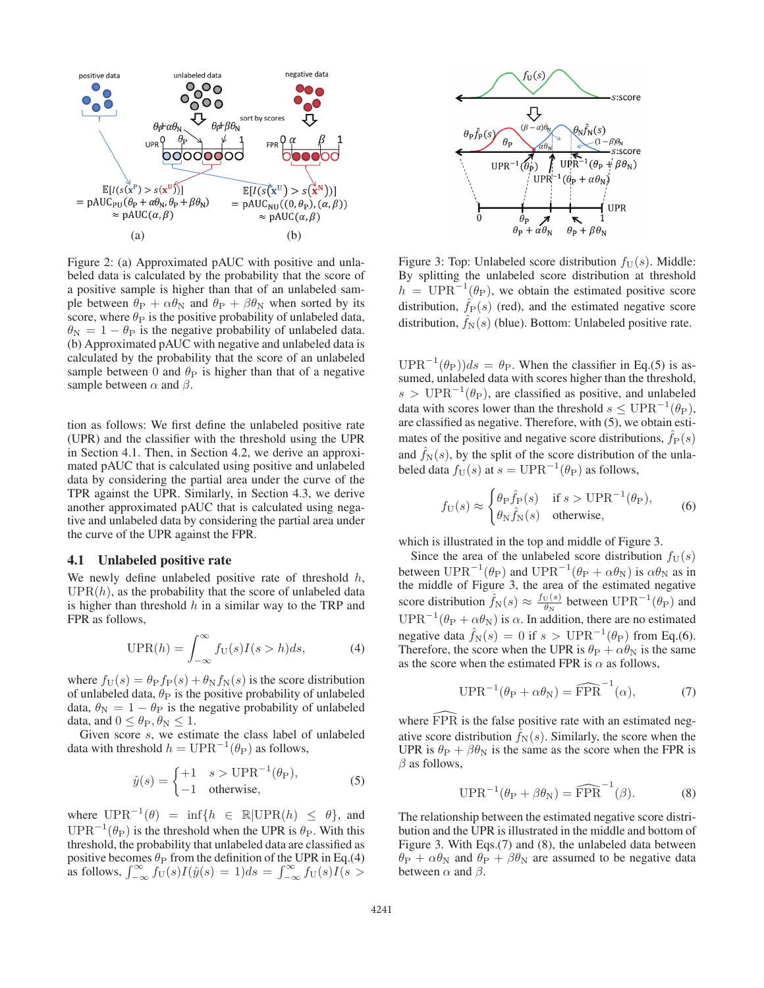

Figure 2: (a) Approximated pAUC with positive and unlabeled data is calculated by the probability that the score of a positive sample is higher than that of an unlabeled sample between  $\theta_P + \alpha \theta_N$  and  $\theta_P + \beta \theta_N$  when sorted by its score, where  $\theta_P$  is the positive probability of unlabeled data,  $\theta_{\rm N} = 1 - \theta_{\rm P}$  is the negative probability of unlabeled data. (b) Approximated pAUC with negative and unlabeled data is calculated by the probability that the score of an unlabeled sample between 0 and  $\theta_P$  is higher than that of a negative sample between  $\alpha$  and  $\beta$ .

tion as follows: We first define the unlabeled positive rate (UPR) and the classifier with the threshold using the UPR in Section 4.1. Then, in Section 4.2, we derive an approximated pAUC that is calculated using positive and unlabeled data by considering the partial area under the curve of the TPR against the UPR. Similarly, in Section 4.3, we derive another approximated pAUC that is calculated using negative and unlabeled data by considering the partial area under the curve of the UPR against the FPR.

#### 4.1 Unlabeled positive rate

We newly define unlabeled positive rate of threshold  $h$ ,  $UPR(h)$ , as the probability that the score of unlabeled data is higher than threshold  $h$  in a similar way to the TRP and FPR as follows,

$$
\text{UPR}(h) = \int_{-\infty}^{\infty} f_{\text{U}}(s) I(s > h) ds,\tag{4}
$$

where  $f_U(s) = \theta_P f_P(s) + \theta_N f_N(s)$  is the score distribution of unlabeled data,  $\theta_P$  is the positive probability of unlabeled data,  $\theta_N = 1 - \theta_P$  is the negative probability of unlabeled data, and  $0 \leq \theta_{\rm P}, \theta_{\rm N} \leq 1$ .

Given score s, we estimate the class label of unlabeled data with threshold  $h = UPR^{-1}(\theta_P)$  as follows,

$$
\hat{y}(s) = \begin{cases}\n+1 & s > \text{UPR}^{-1}(\theta_{\text{P}}), \\
-1 & \text{otherwise,} \n\end{cases}
$$
\n(5)

where  $\text{UPR}^{-1}(\theta) = \inf\{h \in \mathbb{R}|\text{UPR}(h) \leq \theta\}$ , and  $UPR^{-1}(\theta_P)$  is the threshold when the UPR is  $\theta_P$ . With this threshold, the probability that unlabeled data are classified as positive becomes  $\theta_P$  from the definition of the UPR in Eq.(4) as follows,  $\int_{-\infty}^{\infty} f\dot{U}(s)I(\hat{y}(s)) = 1)ds = \int_{-\infty}^{\infty} f\dot{U}(s)I(s)$ 



Figure 3: Top: Unlabeled score distribution  $f_U(s)$ . Middle: By splitting the unlabeled score distribution at threshold  $h = \text{UPR}^{-1}(\theta_{\text{P}})$ , we obtain the estimated positive score distribution,  $\hat{f}_P(s)$  (red), and the estimated negative score distribution,  $\hat{f}_N(s)$  (blue). Bottom: Unlabeled positive rate.

 $\text{UPR}^{-1}(\theta_P)$ ) $ds = \theta_P$ . When the classifier in Eq.(5) is assumed, unlabeled data with scores higher than the threshold, s > UPR<sup>-1</sup>( $\theta$ <sub>P</sub>), are classified as positive, and unlabeled data with scores lower than the threshold  $s \leq \text{UPR}^{-1}(\theta_{\text{P}})$ , are classified as negative. Therefore, with (5), we obtain estimates of the positive and negative score distributions,  $\hat{f}_P(s)$ and  $\hat{f}_N(s)$ , by the split of the score distribution of the unlabeled data  $f_U(s)$  at  $s = \text{UPR}^{-1}(\theta_P)$  as follows,

$$
f_{\mathcal{U}}(s) \approx \begin{cases} \theta_{\mathcal{P}} \hat{f}_{\mathcal{P}}(s) & \text{if } s > \mathcal{U} \mathcal{P} \mathcal{R}^{-1}(\theta_{\mathcal{P}}), \\ \theta_{\mathcal{N}} \hat{f}_{\mathcal{N}}(s) & \text{otherwise,} \end{cases}
$$
 (6)

which is illustrated in the top and middle of Figure 3.

Since the area of the unlabeled score distribution  $f_U(s)$ <br>tween  $\text{HPB}^{-1}(\theta_0)$  and  $\text{HPB}^{-1}(\theta_0 + \alpha \theta_0)$  is  $\alpha \theta_0$  as in between UPR<sup>-1</sup>( $\theta_P$ ) and UPR<sup>-1</sup>( $\theta_P + \alpha \theta_N$ ) is  $\alpha \theta_N$  as in the middle of Figure 3, the area of the estimated negative score distribution  $\hat{f}_N(s) \approx \frac{f_U(s)}{\theta_N}$  between  $UPR^{-1}(\theta_P)$  and  $\text{UPR}^{-1}(\theta_{\text{P}} + \alpha \theta_{\text{N}})$  is  $\alpha$ . In addition, there are no estimated negative data  $\hat{f}_N(s)=0$  if  $s > UPR^{-1}(\theta_P)$  from Eq.(6). Therefore, the score when the UPR is  $\theta_P + \alpha \theta_N$  is the same as the score when the estimated FPR is  $\alpha$  as follows,

$$
UPR^{-1}(\theta_P + \alpha \theta_N) = \widehat{FPR}^{-1}(\alpha), \tag{7}
$$

where  $\widehat{FPR}$  is the false positive rate with an estimated negative score distribution  $\hat{f}_N(s)$ . Similarly, the score when the UPR is  $\theta_P + \beta \theta_N$  is the same as the score when the FPR is  $\beta$  as follows,

$$
UPR^{-1}(\theta_P + \beta \theta_N) = \widehat{FPR}^{-1}(\beta).
$$
 (8)

The relationship between the estimated negative score distribution and the UPR is illustrated in the middle and bottom of Figure 3. With Eqs.(7) and (8), the unlabeled data between  $\theta_P + \alpha \theta_N$  and  $\theta_P + \beta \theta_N$  are assumed to be negative data between  $\alpha$  and  $\beta$ .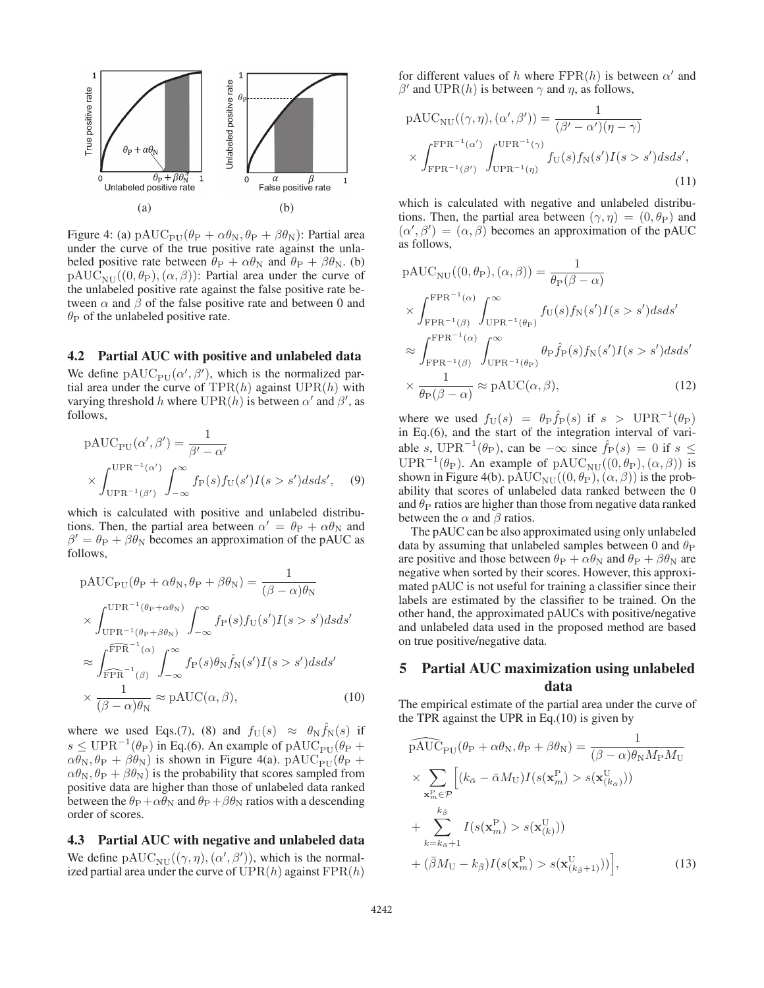

Figure 4: (a)  $\text{pAUC}_{\text{PU}}(\theta_{\text{P}} + \alpha\theta_{\text{N}}, \theta_{\text{P}} + \beta\theta_{\text{N}})$ : Partial area under the curve of the true positive rate against the unlabeled positive rate between  $\theta_P + \alpha \theta_N$  and  $\theta_P + \beta \theta_N$ . (b)  $pAUC_{\text{NII}}((0, \theta_P), (\alpha, \beta))$ : Partial area under the curve of the unlabeled positive rate against the false positive rate between  $\alpha$  and  $\beta$  of the false positive rate and between 0 and  $\theta_P$  of the unlabeled positive rate.

## 4.2 Partial AUC with positive and unlabeled data

We define  $\text{pAUC}_{\text{PU}}(\alpha', \beta')$ , which is the normalized par-<br>tial area under the curve of  $\text{TPR}(h)$  against  $\text{UPR}(h)$  with tial area under the curve of  $TPR(h)$  against  $UPR(h)$  with varying threshold h where  $UPR(h)$  is between  $\alpha'$  and  $\beta'$ , as follows follows,

$$
pAUC_{PU}(\alpha', \beta') = \frac{1}{\beta' - \alpha'}
$$

$$
\times \int_{UPR^{-1}(\beta')}^{UPR^{-1}(\alpha')} \int_{-\infty}^{\infty} f_{P}(s) f_{U}(s') I(s > s') ds ds', \quad (9)
$$

which is calculated with positive and unlabeled distributions. Then, the partial area between  $\alpha' = \theta_{\rm P} + \alpha \theta_{\rm N}$  and  $\beta' = \theta_{\rm P} + \beta \theta_{\rm N}$  becomes an approximation of the pAUC as follows,

$$
pAUC_{PU}(\theta_{P} + \alpha \theta_{N}, \theta_{P} + \beta \theta_{N}) = \frac{1}{(\beta - \alpha)\theta_{N}}
$$
  
\n
$$
\times \int_{UPR^{-1}(\theta_{P} + \beta \theta_{N})}^{UPR^{-1}(\theta_{P} + \alpha \theta_{N})} \int_{-\infty}^{\infty} f_{P}(s) f_{U}(s') I(s > s') ds ds'
$$
  
\n
$$
\approx \int_{\widehat{FPR}}^{\widehat{FPR^{-1}}(\alpha)} \int_{-\infty}^{\infty} f_{P}(s) \theta_{N} \widehat{f}_{N}(s') I(s > s') ds ds'
$$
  
\n
$$
\times \frac{1}{(\beta - \alpha)\theta_{N}} \approx pAUC(\alpha, \beta),
$$
 (10)

where we used Eqs.(7), (8) and  $f_U(s) \approx \theta_N \hat{f}_N(s)$  if  $s \leq \text{UPR}^{-1}(\theta_{\text{P}})$  in Eq.(6). An example of pAUC<sub>PU</sub>( $\theta_{\text{P}}$  +  $\alpha\theta_{\rm N}, \theta_{\rm P} + \beta\theta_{\rm N}$ ) is shown in Figure 4(a). pAUC<sub>PU</sub>( $\theta_{\rm P}$  +  $\alpha\theta_N$ ,  $\theta_P + \beta\theta_N$ ) is the probability that scores sampled from positive data are higher than those of unlabeled data ranked between the  $\theta_P + \alpha \theta_N$  and  $\theta_P + \beta \theta_N$  ratios with a descending order of scores.

4.3 Partial AUC with negative and unlabeled data We define  $\text{pAUC}_{\text{NU}}((\gamma, \eta), (\alpha', \beta'))$ , which is the normal-<br>ized partial area under the curve of UPR(h) against FPR(h) ized partial area under the curve of  $UPR(h)$  against  $FPR(h)$ 

for different values of h where  $FPR(h)$  is between  $\alpha'$  and  $β'$  and UPR(*h*) is between  $γ$  and  $η$ , as follows,

$$
pAUC_{NU}((\gamma, \eta), (\alpha', \beta')) = \frac{1}{(\beta' - \alpha')(\eta - \gamma)}
$$

$$
\times \int_{\text{FPR}^{-1}(\beta')}^{\text{FPR}^{-1}(\alpha')} \int_{\text{UPR}^{-1}(\eta)}^{\text{UPR}^{-1}(\gamma)} f_U(s) f_N(s') I(s > s') ds ds',
$$
\n(11)

which is calculated with negative and unlabeled distributions. Then, the partial area between  $(\gamma, \eta) = (0, \theta_P)$  and  $(\alpha', \beta') = (\alpha, \beta)$  becomes an approximation of the pAUC as follows as follows,

$$
pAUC_{NU}((0, \theta_P), (\alpha, \beta)) = \frac{1}{\theta_P(\beta - \alpha)}
$$
  
\n
$$
\times \int_{\text{FPR}^{-1}(\beta)}^{\text{FPR}^{-1}(\alpha)} \int_{\text{UPR}^{-1}(\theta_P)}^{\infty} f_U(s) f_N(s') I(s > s') ds ds'
$$
  
\n
$$
\approx \int_{\text{FPR}^{-1}(\beta)}^{\text{FPR}^{-1}(\alpha)} \int_{\text{UPR}^{-1}(\theta_P)}^{\infty} \theta_P \hat{f}_P(s) f_N(s') I(s > s') ds ds'
$$
  
\n
$$
\times \frac{1}{\theta_P(\beta - \alpha)} \approx pAUC(\alpha, \beta),
$$
\n(12)

where we used  $f_U(s) = \theta_P \hat{f}_P(s)$  if  $s > UPR^{-1}(\theta_P)$ in Eq.(6), and the start of the integration interval of variable s, UPR<sup>-1</sup>( $\theta$ <sub>P</sub>), can be  $-\infty$  since  $\hat{f}_P(s)=0$  if s  $\leq$ UPR<sup>-1</sup>( $\theta$ <sub>P</sub>). An example of pAUC<sub>NU</sub>((0, $\theta$ <sub>P</sub>),( $\alpha$ , $\beta$ )) is shown in Figure 4(b).  $\text{PAUC}_{\text{NU}}((0, \theta_{\text{P}}), (\alpha, \beta))$  is the probability that scores of unlabeled data ranked between the 0 and  $\theta_P$  ratios are higher than those from negative data ranked between the  $\alpha$  and  $\beta$  ratios.

The pAUC can be also approximated using only unlabeled data by assuming that unlabeled samples between 0 and  $\theta_P$ are positive and those between  $\theta_{\rm P} + \alpha \theta_{\rm N}$  and  $\theta_{\rm P} + \beta \theta_{\rm N}$  are negative when sorted by their scores. However, this approximated pAUC is not useful for training a classifier since their labels are estimated by the classifier to be trained. On the other hand, the approximated pAUCs with positive/negative and unlabeled data used in the proposed method are based on true positive/negative data.

# 5 Partial AUC maximization using unlabeled data

The empirical estimate of the partial area under the curve of the TPR against the UPR in Eq.(10) is given by

$$
\widehat{pAUC}_{PU}(\theta_{P} + \alpha \theta_{N}, \theta_{P} + \beta \theta_{N}) = \frac{1}{(\beta - \alpha)\theta_{N}M_{P}M_{U}}
$$
\n
$$
\times \sum_{\mathbf{x}_{m}^{P} \in \mathcal{P}} \left[ (k_{\bar{\alpha}} - \bar{\alpha}M_{U})I(s(\mathbf{x}_{m}^{P}) > s(\mathbf{x}_{(k_{\bar{\alpha}})}^{U})) + \sum_{k=k_{\bar{\alpha}}+1}^{k_{\bar{\beta}}} I(s(\mathbf{x}_{m}^{P}) > s(\mathbf{x}_{(k)}^{U})) + (\bar{\beta}M_{U} - k_{\bar{\beta}})I(s(\mathbf{x}_{m}^{P}) > s(\mathbf{x}_{(k_{\bar{\beta}}+1)}^{U})) \right],
$$
\n(13)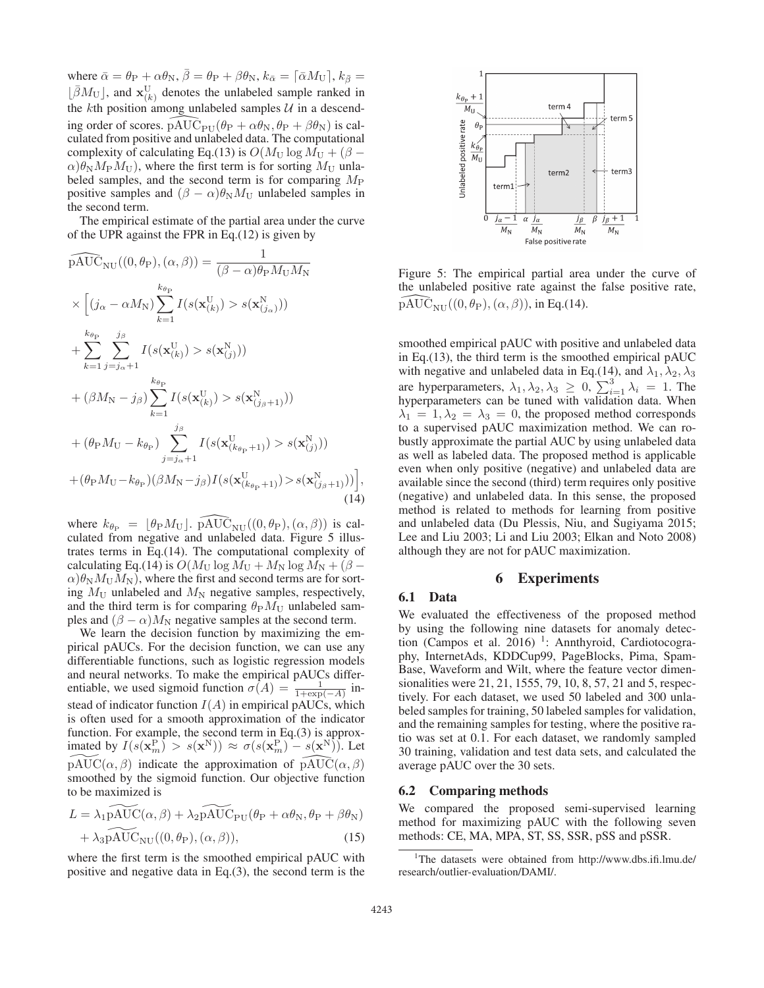where  $\bar{\alpha} = \theta_{\rm P} + \alpha \theta_{\rm N}, \bar{\beta} = \theta_{\rm P} + \beta \theta_{\rm N}, k_{\bar{\alpha}} = [\bar{\alpha} M_{\rm U}], k_{\bar{\beta}} =$  $\lfloor \bar{\beta} M_U \rfloor$ , and  $\mathbf{x}_{(k)}^U$  denotes the unlabeled sample ranked in the  $k$ th position among unlabeled samples  $U$  in a descending order of scores.  $\widehat{PAUC}_{PU}(\theta_P + \alpha\theta_N, \theta_P + \beta\theta_N)$  is cal-<br>culated from positive and unlabeled data. The computational culated from positive and unlabeled data. The computational complexity of calculating Eq.(13) is  $O(M_U \log M_U + (\beta \alpha$ ) $\theta_N M_P M_U$ ), where the first term is for sorting  $M_U$  unlabeled samples, and the second term is for comparing  $M_P$ positive samples and  $(\beta - \alpha)\theta_N M_U$  unlabeled samples in the second term.

The empirical estimate of the partial area under the curve of the UPR against the FPR in Eq.(12) is given by

$$
\widehat{\text{pAUC}}_{\text{NU}}((0, \theta_{\text{P}}), (\alpha, \beta)) = \frac{1}{(\beta - \alpha)\theta_{\text{P}}M_{\text{U}}M_{\text{N}}}
$$
\n
$$
\times \left[ (j_{\alpha} - \alpha M_{\text{N}}) \sum_{k=1}^{k_{\theta_{\text{P}}}} I(s(\mathbf{x}_{(k)}^{\text{U}}) > s(\mathbf{x}_{(j_{\alpha})}^{\text{N}})) \right]
$$
\n
$$
+ \sum_{k=1}^{k_{\theta_{\text{P}}}} \sum_{j=j_{\alpha}+1}^{j_{\beta}} I(s(\mathbf{x}_{(k)}^{\text{U}}) > s(\mathbf{x}_{(j)}^{\text{N}}))
$$
\n
$$
+ (\beta M_{\text{N}} - j_{\beta}) \sum_{k=1}^{k_{\theta_{\text{P}}}} I(s(\mathbf{x}_{(k)}^{\text{U}}) > s(\mathbf{x}_{(j_{\beta}+1)}^{\text{N}}))
$$
\n
$$
+ (\theta_{\text{P}}M_{\text{U}} - k_{\theta_{\text{P}}}) \sum_{j=j_{\alpha}+1}^{j_{\beta}} I(s(\mathbf{x}_{(k_{\theta_{\text{P}}}+1)}^{\text{U}}) > s(\mathbf{x}_{(j)}^{\text{N}}))
$$
\n
$$
+ (\theta_{\text{P}}M_{\text{U}} - k_{\theta_{\text{P}}}) (\beta M_{\text{N}} - j_{\beta}) I(s(\mathbf{x}_{(k_{\theta_{\text{P}}}+1)}^{\text{U}}) > s(\mathbf{x}_{(j_{\beta}+1)}^{\text{N}})) \right],
$$
\n(14)

where  $k_{\theta_P} = [\theta_P M_U]$ .  $\widehat{PAUC}_{NU}((0, \theta_P), (\alpha, \beta))$  is cal-<br>culated from negative and unlabeled data. Figure 5 illusculated from negative and unlabeled data. Figure 5 illustrates terms in Eq.(14). The computational complexity of calculating Eq.(14) is  $O(M_U \log M_U + M_N \log M_N + (\beta \alpha$ ) $\theta_N M_U M_N$ ), where the first and second terms are for sorting  $M_U$  unlabeled and  $M_N$  negative samples, respectively, and the third term is for comparing  $\theta_P M_U$  unlabeled samples and  $(\beta - \alpha)M_N$  negative samples at the second term.

We learn the decision function by maximizing the empirical pAUCs. For the decision function, we can use any differentiable functions, such as logistic regression models and neural networks. To make the empirical pAUCs differentiable, we used sigmoid function  $\sigma(A) = \frac{1}{1 + \exp(-A)}$  in-<br>the d of indicator function  $I(A)$  in amplitude  $\Lambda$  UCs, which stead of indicator function  $I(A)$  in empirical pAUCs, which is often used for a smooth approximation of the indicator function. For example, the second term in Eq.(3) is approximated by  $I(s(\mathbf{x}_m^{\mathbf{P}}) > s(\mathbf{x}^{\mathbf{N}})) \approx \sigma(s(\mathbf{x}_m^{\mathbf{P}}) - s(\mathbf{x}^{\mathbf{N}})).$  Let  $\widetilde{\text{pAUC}}(\alpha, \beta)$  indicate the approximation of  $\widehat{\text{pAUC}}(\alpha, \beta)$ <br>smoothed by the sigmoid function. Our objective function smoothed by the sigmoid function. Our objective function to be maximized is

$$
L = \lambda_1 \widetilde{\text{PAUC}}(\alpha, \beta) + \lambda_2 \widetilde{\text{PAUC}}_{\text{PU}}(\theta_{\text{P}} + \alpha \theta_{\text{N}}, \theta_{\text{P}} + \beta \theta_{\text{N}})
$$

$$
+ \lambda_3 \widetilde{\text{PAUC}}_{\text{NU}}((0, \theta_{\text{P}}), (\alpha, \beta)), \tag{15}
$$

where the first term is the smoothed empirical pAUC with positive and negative data in Eq.(3), the second term is the



Figure 5: The empirical partial area under the curve of the unlabeled positive rate against the false positive rate,  $\widehat{\text{pAUC}}_{\text{NU}}((0, \theta_{\text{P}}), (\alpha, \beta)),$  in Eq.(14).

smoothed empirical pAUC with positive and unlabeled data in Eq.(13), the third term is the smoothed empirical pAUC with negative and unlabeled data in Eq.(14), and  $\lambda_1, \lambda_2, \lambda_3$ are hyperparameters,  $\lambda_1, \lambda_2, \lambda_3 \geq 0$ ,  $\sum_{i=1}^3 \lambda_i = 1$ . The hyperparameters can be tuned with validation data. When  $\lambda_1 = 1, \lambda_2 = \lambda_3 = 0$ , the proposed method corresponds to a supervised pAUC maximization method. We can robustly approximate the partial AUC by using unlabeled data as well as labeled data. The proposed method is applicable even when only positive (negative) and unlabeled data are available since the second (third) term requires only positive (negative) and unlabeled data. In this sense, the proposed method is related to methods for learning from positive and unlabeled data (Du Plessis, Niu, and Sugiyama 2015; Lee and Liu 2003; Li and Liu 2003; Elkan and Noto 2008) although they are not for pAUC maximization.

### 6 Experiments

## 6.1 Data

,

We evaluated the effectiveness of the proposed method by using the following nine datasets for anomaly detection (Campos et al. 2016)<sup>1</sup>: Annthyroid, Cardiotocography, InternetAds, KDDCup99, PageBlocks, Pima, Spam-Base, Waveform and Wilt, where the feature vector dimensionalities were 21, 21, 1555, 79, 10, 8, 57, 21 and 5, respectively. For each dataset, we used 50 labeled and 300 unlabeled samples for training, 50 labeled samples for validation, and the remaining samples for testing, where the positive ratio was set at 0.1. For each dataset, we randomly sampled 30 training, validation and test data sets, and calculated the average pAUC over the 30 sets.

## 6.2 Comparing methods

We compared the proposed semi-supervised learning method for maximizing pAUC with the following seven methods: CE, MA, MPA, ST, SS, SSR, pSS and pSSR.

<sup>&</sup>lt;sup>1</sup>The datasets were obtained from http://www.dbs.ifi.lmu.de/ research/outlier-evaluation/DAMI/.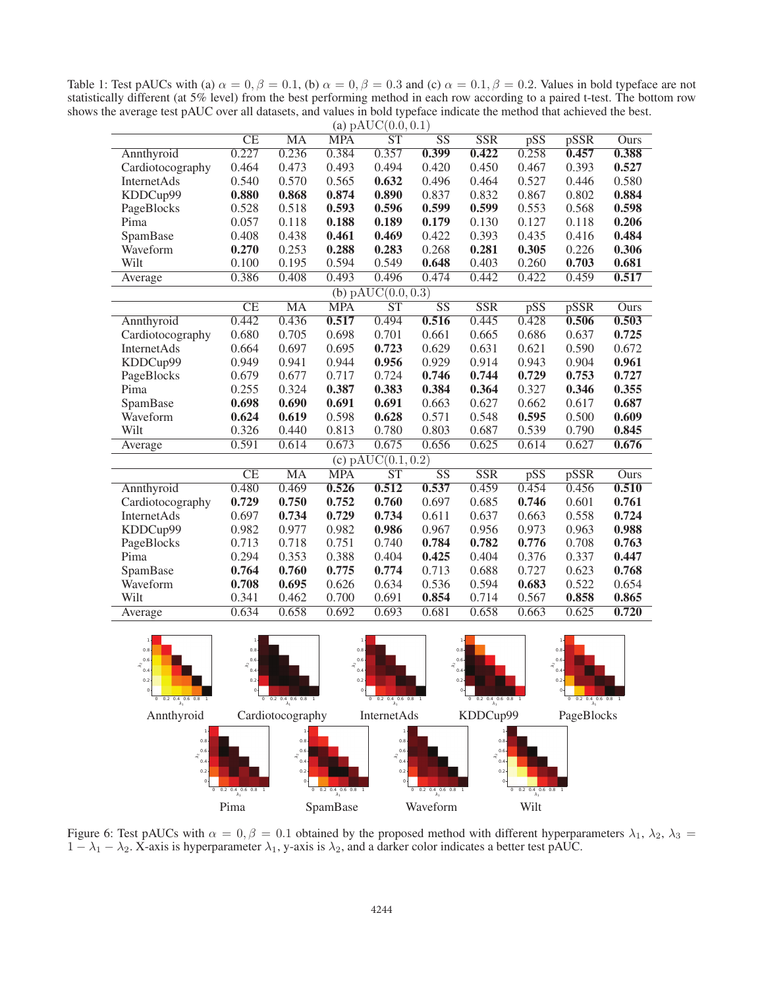Table 1: Test pAUCs with (a)  $\alpha = 0$ ,  $\beta = 0.1$ , (b)  $\alpha = 0$ ,  $\beta = 0.3$  and (c)  $\alpha = 0.1$ ,  $\beta = 0.2$ . Values in bold typeface are not statistically different (at 5% level) from the best performing method in each row accor shows the average test pAUC over all datasets, and values in bold typeface indicate the method that achieved the best.

| (a) $\text{pAUC}(0.0, 0.1)$            |                        |           |            |                        |                        |            |                         |       |       |
|----------------------------------------|------------------------|-----------|------------|------------------------|------------------------|------------|-------------------------|-------|-------|
|                                        | CE                     | <b>MA</b> | <b>MPA</b> | ST                     | SS                     | <b>SSR</b> | pSS                     | pSSR  | Ours  |
| Annthyroid                             | 0.227                  | 0.236     | 0.384      | 0.357                  | 0.399                  | 0.422      | 0.258                   | 0.457 | 0.388 |
| Cardiotocography                       | 0.464                  | 0.473     | 0.493      | 0.494                  | 0.420                  | 0.450      | 0.467                   | 0.393 | 0.527 |
| InternetAds                            | 0.540                  | 0.570     | 0.565      | 0.632                  | 0.496                  | 0.464      | 0.527                   | 0.446 | 0.580 |
| KDDCup99                               | 0.880                  | 0.868     | 0.874      | 0.890                  | 0.837                  | 0.832      | 0.867                   | 0.802 | 0.884 |
| PageBlocks                             | 0.528                  | 0.518     | 0.593      | 0.596                  | 0.599                  | 0.599      | 0.553                   | 0.568 | 0.598 |
| Pima                                   | 0.057                  | 0.118     | 0.188      | 0.189                  | 0.179                  | 0.130      | 0.127                   | 0.118 | 0.206 |
| SpamBase                               | 0.408                  | 0.438     | 0.461      | 0.469                  | 0.422                  | 0.393      | 0.435                   | 0.416 | 0.484 |
| Waveform                               | 0.270                  | 0.253     | 0.288      | 0.283                  | 0.268                  | 0.281      | 0.305                   | 0.226 | 0.306 |
| Wilt                                   | 0.100                  | 0.195     | 0.594      | 0.549                  | 0.648                  | 0.403      | 0.260                   | 0.703 | 0.681 |
| Average                                | 0.386                  | 0.408     | 0.493      | 0.496                  | 0.474                  | 0.442      | 0.422                   | 0.459 | 0.517 |
| (b) pAUC $(0.0, 0.3)$                  |                        |           |            |                        |                        |            |                         |       |       |
|                                        | $\overline{\text{CE}}$ | <b>MA</b> | <b>MPA</b> | $\overline{\text{ST}}$ | $\overline{\text{SS}}$ | <b>SSR</b> | $\overline{\text{pSS}}$ | pSSR  | Ours  |
| Annthyroid                             | 0.442                  | 0.436     | 0.517      | 0.494                  | 0.516                  | 0.445      | 0.428                   | 0.506 | 0.503 |
| Cardiotocography                       | 0.680                  | 0.705     | 0.698      | 0.701                  | 0.661                  | 0.665      | 0.686                   | 0.637 | 0.725 |
| InternetAds                            | 0.664                  | 0.697     | 0.695      | 0.723                  | 0.629                  | 0.631      | 0.621                   | 0.590 | 0.672 |
| KDDCup99                               | 0.949                  | 0.941     | 0.944      | 0.956                  | 0.929                  | 0.914      | 0.943                   | 0.904 | 0.961 |
| PageBlocks                             | 0.679                  | 0.677     | 0.717      | 0.724                  | 0.746                  | 0.744      | 0.729                   | 0.753 | 0.727 |
| Pima                                   | 0.255                  | 0.324     | 0.387      | 0.383                  | 0.384                  | 0.364      | 0.327                   | 0.346 | 0.355 |
| SpamBase                               | 0.698                  | 0.690     | 0.691      | 0.691                  | 0.663                  | 0.627      | 0.662                   | 0.617 | 0.687 |
| Waveform                               | 0.624                  | 0.619     | 0.598      | 0.628                  | 0.571                  | 0.548      | 0.595                   | 0.500 | 0.609 |
| Wilt                                   | 0.326                  | 0.440     | 0.813      | 0.780                  | 0.803                  | 0.687      | 0.539                   | 0.790 | 0.845 |
| Average                                | 0.591                  | 0.614     | 0.673      | 0.675                  | 0.656                  | 0.625      | 0.614                   | 0.627 | 0.676 |
| (c) $\overline{\text{pAUC}(0.1, 0.2)}$ |                        |           |            |                        |                        |            |                         |       |       |
|                                        | CE                     | <b>MA</b> | <b>MPA</b> | $\overline{\text{ST}}$ | $\overline{\text{SS}}$ | <b>SSR</b> | pSS                     | pSSR  | Ours  |
| Annthyroid                             | 0.480                  | 0.469     | 0.526      | 0.512                  | 0.537                  | 0.459      | 0.454                   | 0.456 | 0.510 |
| Cardiotocography                       | 0.729                  | 0.750     | 0.752      | 0.760                  | 0.697                  | 0.685      | 0.746                   | 0.601 | 0.761 |
| InternetAds                            | 0.697                  | 0.734     | 0.729      | 0.734                  | 0.611                  | 0.637      | 0.663                   | 0.558 | 0.724 |
| KDDCup99                               | 0.982                  | 0.977     | 0.982      | 0.986                  | 0.967                  | 0.956      | 0.973                   | 0.963 | 0.988 |
| PageBlocks                             | 0.713                  | 0.718     | 0.751      | 0.740                  | 0.784                  | 0.782      | 0.776                   | 0.708 | 0.763 |
| Pima                                   | 0.294                  | 0.353     | 0.388      | 0.404                  | 0.425                  | 0.404      | 0.376                   | 0.337 | 0.447 |
| SpamBase                               | 0.764                  | 0.760     | 0.775      | 0.774                  | 0.713                  | 0.688      | 0.727                   | 0.623 | 0.768 |
| Waveform                               | 0.708                  | 0.695     | 0.626      | 0.634                  | 0.536                  | 0.594      | 0.683                   | 0.522 | 0.654 |
| Wilt                                   | 0.341                  | 0.462     | 0.700      | 0.691                  | 0.854                  | 0.714      | 0.567                   | 0.858 | 0.865 |
| Average                                | 0.634                  | 0.658     | 0.692      | 0.693                  | 0.681                  | 0.658      | 0.663                   | 0.625 | 0.720 |
|                                        |                        |           |            |                        |                        |            |                         |       |       |



Figure 6: Test pAUCs with  $\alpha = 0$ ,  $\beta = 0.1$  obtained by the proposed method with different hyperparameters  $\lambda_1$ ,  $\lambda_2$ ,  $\lambda_3 = 1 - \lambda_1 - \lambda_2$ . X-axis is hyperparameter  $\lambda_1$ , v-axis is  $\lambda_2$  and a darker color indicat  $1 - \lambda_1 - \lambda_2$ . X-axis is hyperparameter  $\lambda_1$ , y-axis is  $\lambda_2$ , and a darker color indicates a better test pAUC.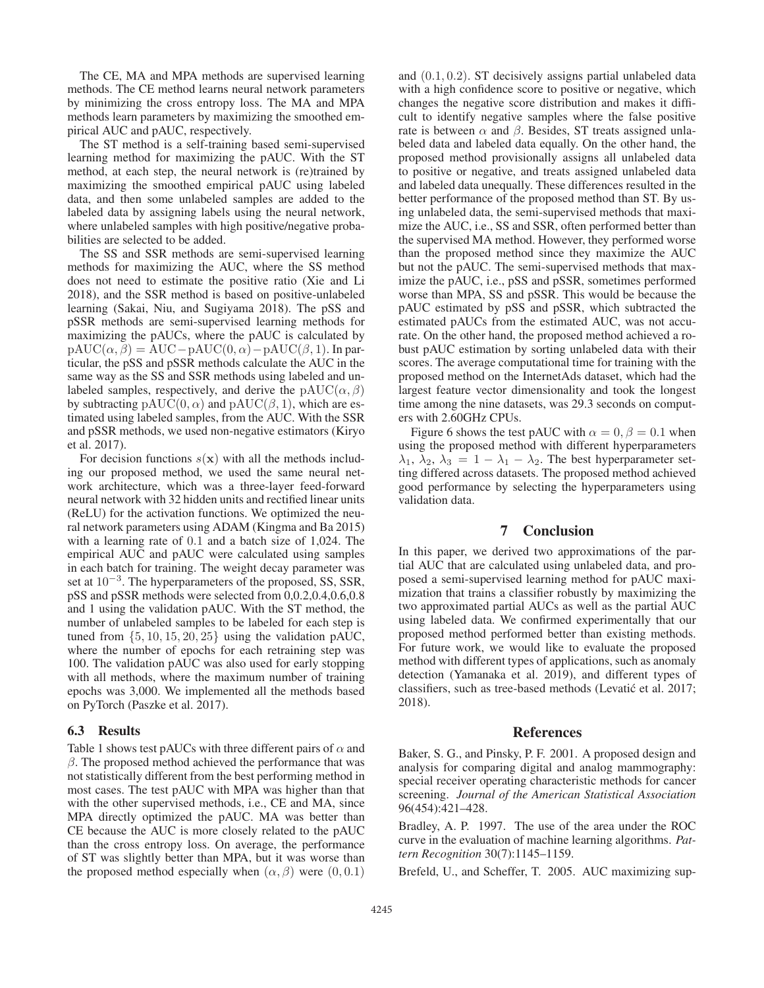The CE, MA and MPA methods are supervised learning methods. The CE method learns neural network parameters by minimizing the cross entropy loss. The MA and MPA methods learn parameters by maximizing the smoothed empirical AUC and pAUC, respectively.

The ST method is a self-training based semi-supervised learning method for maximizing the pAUC. With the ST method, at each step, the neural network is (re)trained by maximizing the smoothed empirical pAUC using labeled data, and then some unlabeled samples are added to the labeled data by assigning labels using the neural network, where unlabeled samples with high positive/negative probabilities are selected to be added.

The SS and SSR methods are semi-supervised learning methods for maximizing the AUC, where the SS method does not need to estimate the positive ratio (Xie and Li 2018), and the SSR method is based on positive-unlabeled learning (Sakai, Niu, and Sugiyama 2018). The pSS and pSSR methods are semi-supervised learning methods for maximizing the pAUCs, where the pAUC is calculated by  $pAUC(\alpha, \beta) = AUC-pAUC(0, \alpha) - pAUC(\beta, 1)$ . In particular, the pSS and pSSR methods calculate the AUC in the same way as the SS and SSR methods using labeled and unlabeled samples, respectively, and derive the pAUC( $\alpha$ ,  $\beta$ ) by subtracting  $\text{pAUC}(0, \alpha)$  and  $\text{pAUC}(\beta, 1)$ , which are estimated using labeled samples, from the AUC. With the SSR and pSSR methods, we used non-negative estimators (Kiryo et al. 2017).

For decision functions  $s(x)$  with all the methods including our proposed method, we used the same neural network architecture, which was a three-layer feed-forward neural network with 32 hidden units and rectified linear units (ReLU) for the activation functions. We optimized the neural network parameters using ADAM (Kingma and Ba 2015) with a learning rate of 0.1 and a batch size of 1,024. The empirical AUC and pAUC were calculated using samples in each batch for training. The weight decay parameter was set at <sup>10</sup><sup>−</sup><sup>3</sup>. The hyperparameters of the proposed, SS, SSR, pSS and pSSR methods were selected from 0,0.2,0.4,0.6,0.8 and 1 using the validation pAUC. With the ST method, the number of unlabeled samples to be labeled for each step is tuned from  $\{5, 10, 15, 20, 25\}$  using the validation pAUC, where the number of epochs for each retraining step was 100. The validation pAUC was also used for early stopping with all methods, where the maximum number of training epochs was 3,000. We implemented all the methods based on PyTorch (Paszke et al. 2017).

### 6.3 Results

Table 1 shows test pAUCs with three different pairs of  $\alpha$  and  $\beta$ . The proposed method achieved the performance that was not statistically different from the best performing method in most cases. The test pAUC with MPA was higher than that with the other supervised methods, i.e., CE and MA, since MPA directly optimized the pAUC. MA was better than CE because the AUC is more closely related to the pAUC than the cross entropy loss. On average, the performance of ST was slightly better than MPA, but it was worse than the proposed method especially when  $(\alpha, \beta)$  were  $(0, 0.1)$ 

and (0.1, 0.2). ST decisively assigns partial unlabeled data with a high confidence score to positive or negative, which changes the negative score distribution and makes it difficult to identify negative samples where the false positive rate is between  $\alpha$  and  $\beta$ . Besides, ST treats assigned unlabeled data and labeled data equally. On the other hand, the proposed method provisionally assigns all unlabeled data to positive or negative, and treats assigned unlabeled data and labeled data unequally. These differences resulted in the better performance of the proposed method than ST. By using unlabeled data, the semi-supervised methods that maximize the AUC, i.e., SS and SSR, often performed better than the supervised MA method. However, they performed worse than the proposed method since they maximize the AUC but not the pAUC. The semi-supervised methods that maximize the pAUC, i.e., pSS and pSSR, sometimes performed worse than MPA, SS and pSSR. This would be because the pAUC estimated by pSS and pSSR, which subtracted the estimated pAUCs from the estimated AUC, was not accurate. On the other hand, the proposed method achieved a robust pAUC estimation by sorting unlabeled data with their scores. The average computational time for training with the proposed method on the InternetAds dataset, which had the largest feature vector dimensionality and took the longest time among the nine datasets, was 29.3 seconds on computers with 2.60GHz CPUs.

Figure 6 shows the test pAUC with  $\alpha = 0, \beta = 0.1$  when using the proposed method with different hyperparameters  $\lambda_1, \lambda_2, \lambda_3 = 1 - \lambda_1 - \lambda_2$ . The best hyperparameter setting differed across datasets. The proposed method achieved good performance by selecting the hyperparameters using validation data.

## 7 Conclusion

In this paper, we derived two approximations of the partial AUC that are calculated using unlabeled data, and proposed a semi-supervised learning method for pAUC maximization that trains a classifier robustly by maximizing the two approximated partial AUCs as well as the partial AUC using labeled data. We confirmed experimentally that our proposed method performed better than existing methods. For future work, we would like to evaluate the proposed method with different types of applications, such as anomaly detection (Yamanaka et al. 2019), and different types of classifiers, such as tree-based methods (Levatic et al. 2017; 2018).

#### References

Baker, S. G., and Pinsky, P. F. 2001. A proposed design and analysis for comparing digital and analog mammography: special receiver operating characteristic methods for cancer screening. *Journal of the American Statistical Association* 96(454):421–428.

Bradley, A. P. 1997. The use of the area under the ROC curve in the evaluation of machine learning algorithms. *Pattern Recognition* 30(7):1145–1159.

Brefeld, U., and Scheffer, T. 2005. AUC maximizing sup-